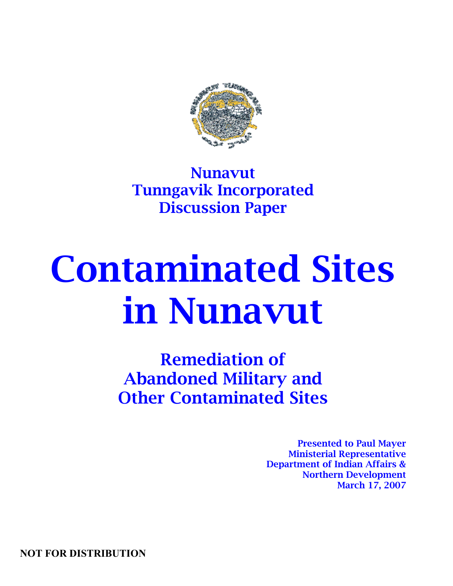

Nunavut Tunngavik Incorporated Discussion Paper

# Contaminated Sites in Nunavut

Remediation of Abandoned Military and Other Contaminated Sites

> Presented to Paul Mayer Ministerial Representative Department of Indian Affairs & Northern Development March 17, 2007

NOT FOR DISTRIBUTION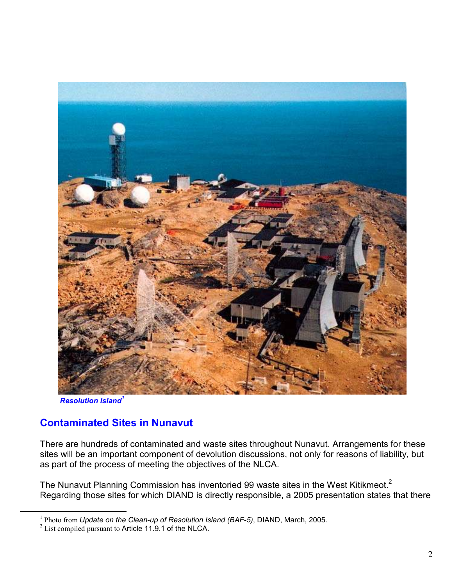

**Resolution Island<sup>1</sup>** 

-

#### Contaminated Sites in Nunavut

There are hundreds of contaminated and waste sites throughout Nunavut. Arrangements for these sites will be an important component of devolution discussions, not only for reasons of liability, but as part of the process of meeting the objectives of the NLCA.

The Nunavut Planning Commission has inventoried 99 waste sites in the West Kitikmeot.<sup>2</sup> Regarding those sites for which DIAND is directly responsible, a 2005 presentation states that there

<sup>&</sup>lt;sup>1</sup> Photo from Update on the Clean-up of Resolution Island (BAF-5), DIAND, March, 2005.

 $2^2$  List compiled pursuant to Article 11.9.1 of the NLCA.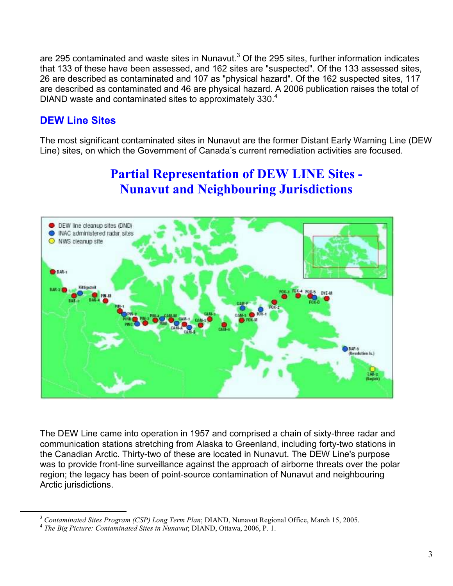are 295 contaminated and waste sites in Nunavut.<sup>3</sup> Of the 295 sites, further information indicates that 133 of these have been assessed, and 162 sites are "suspected". Of the 133 assessed sites, 26 are described as contaminated and 107 as "physical hazard". Of the 162 suspected sites, 117 are described as contaminated and 46 are physical hazard. A 2006 publication raises the total of DIAND waste and contaminated sites to approximately 330.<sup>4</sup>

#### DEW Line Sites

-

The most significant contaminated sites in Nunavut are the former Distant Early Warning Line (DEW Line) sites, on which the Government of Canada's current remediation activities are focused.

### Partial Representation of DEW LINE Sites - Nunavut and Neighbouring Jurisdictions



The DEW Line came into operation in 1957 and comprised a chain of sixty-three radar and communication stations stretching from Alaska to Greenland, including forty-two stations in the Canadian Arctic. Thirty-two of these are located in Nunavut. The DEW Line's purpose was to provide front-line surveillance against the approach of airborne threats over the polar region; the legacy has been of point-source contamination of Nunavut and neighbouring Arctic jurisdictions.

 $3$  Contaminated Sites Program (CSP) Long Term Plan; DIAND, Nunavut Regional Office, March 15, 2005.

<sup>&</sup>lt;sup>4</sup> The Big Picture: Contaminated Sites in Nunavut; DIAND, Ottawa, 2006, P. 1.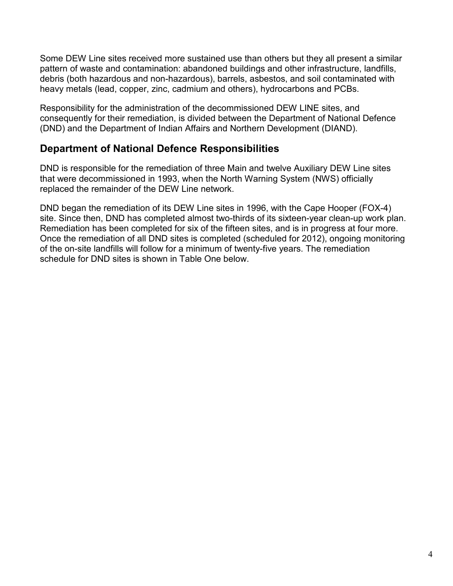Some DEW Line sites received more sustained use than others but they all present a similar pattern of waste and contamination: abandoned buildings and other infrastructure, landfills, debris (both hazardous and non-hazardous), barrels, asbestos, and soil contaminated with heavy metals (lead, copper, zinc, cadmium and others), hydrocarbons and PCBs.

Responsibility for the administration of the decommissioned DEW LINE sites, and consequently for their remediation, is divided between the Department of National Defence (DND) and the Department of Indian Affairs and Northern Development (DIAND).

#### Department of National Defence Responsibilities

DND is responsible for the remediation of three Main and twelve Auxiliary DEW Line sites that were decommissioned in 1993, when the North Warning System (NWS) officially replaced the remainder of the DEW Line network.

DND began the remediation of its DEW Line sites in 1996, with the Cape Hooper (FOX-4) site. Since then, DND has completed almost two-thirds of its sixteen-year clean-up work plan. Remediation has been completed for six of the fifteen sites, and is in progress at four more. Once the remediation of all DND sites is completed (scheduled for 2012), ongoing monitoring of the on-site landfills will follow for a minimum of twenty-five years. The remediation schedule for DND sites is shown in Table One below.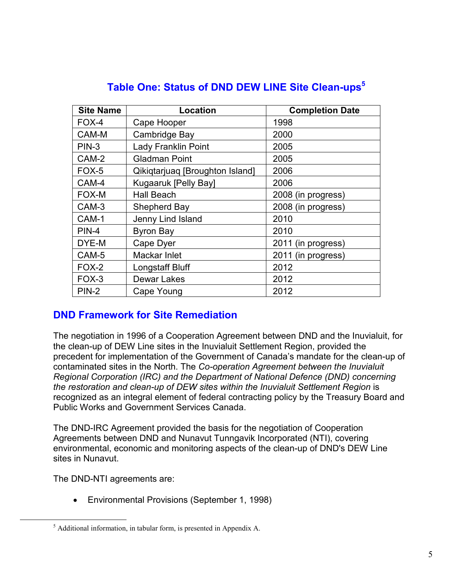| <b>Site Name</b> | Location                        | <b>Completion Date</b> |
|------------------|---------------------------------|------------------------|
| FOX-4            | Cape Hooper                     | 1998                   |
| CAM-M            | Cambridge Bay                   | 2000                   |
| $PIN-3$          | <b>Lady Franklin Point</b>      | 2005                   |
| CAM-2            | <b>Gladman Point</b>            | 2005                   |
| FOX-5            | Qikiqtarjuaq [Broughton Island] | 2006                   |
| CAM-4            | Kugaaruk [Pelly Bay]            | 2006                   |
| FOX-M            | <b>Hall Beach</b>               | 2008 (in progress)     |
| CAM-3            | Shepherd Bay                    | 2008 (in progress)     |
| CAM-1            | Jenny Lind Island               | 2010                   |
| <b>PIN-4</b>     | <b>Byron Bay</b>                | 2010                   |
| DYE-M            | Cape Dyer                       | 2011 (in progress)     |
| CAM-5            | Mackar Inlet                    | 2011 (in progress)     |
| FOX-2            | Longstaff Bluff                 | 2012                   |
| FOX-3            | <b>Dewar Lakes</b>              | 2012                   |
| <b>PIN-2</b>     | Cape Young                      | 2012                   |

#### Table One: Status of DND DEW LINE Site Clean-ups<sup>5</sup>

#### DND Framework for Site Remediation

The negotiation in 1996 of a Cooperation Agreement between DND and the Inuvialuit, for the clean-up of DEW Line sites in the Inuvialuit Settlement Region, provided the precedent for implementation of the Government of Canada's mandate for the clean-up of contaminated sites in the North. The Co-operation Agreement between the Inuvialuit Regional Corporation (IRC) and the Department of National Defence (DND) concerning the restoration and clean-up of DEW sites within the Inuvialuit Settlement Region is recognized as an integral element of federal contracting policy by the Treasury Board and Public Works and Government Services Canada.

The DND-IRC Agreement provided the basis for the negotiation of Cooperation Agreements between DND and Nunavut Tunngavik Incorporated (NTI), covering environmental, economic and monitoring aspects of the clean-up of DND's DEW Line sites in Nunavut.

The DND-NTI agreements are:

<u>.</u>

• Environmental Provisions (September 1, 1998)

<sup>&</sup>lt;sup>5</sup> Additional information, in tabular form, is presented in Appendix A.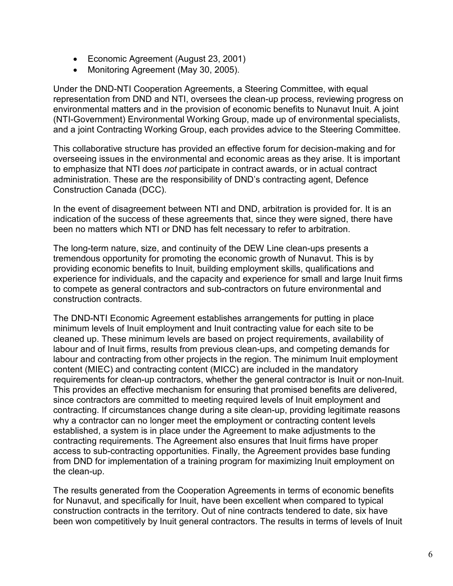- Economic Agreement (August 23, 2001)
- Monitoring Agreement (May 30, 2005).

Under the DND-NTI Cooperation Agreements, a Steering Committee, with equal representation from DND and NTI, oversees the clean-up process, reviewing progress on environmental matters and in the provision of economic benefits to Nunavut Inuit. A joint (NTI-Government) Environmental Working Group, made up of environmental specialists, and a joint Contracting Working Group, each provides advice to the Steering Committee.

This collaborative structure has provided an effective forum for decision-making and for overseeing issues in the environmental and economic areas as they arise. It is important to emphasize that NTI does not participate in contract awards, or in actual contract administration. These are the responsibility of DND's contracting agent, Defence Construction Canada (DCC).

In the event of disagreement between NTI and DND, arbitration is provided for. It is an indication of the success of these agreements that, since they were signed, there have been no matters which NTI or DND has felt necessary to refer to arbitration.

The long-term nature, size, and continuity of the DEW Line clean-ups presents a tremendous opportunity for promoting the economic growth of Nunavut. This is by providing economic benefits to Inuit, building employment skills, qualifications and experience for individuals, and the capacity and experience for small and large Inuit firms to compete as general contractors and sub-contractors on future environmental and construction contracts.

The DND-NTI Economic Agreement establishes arrangements for putting in place minimum levels of Inuit employment and Inuit contracting value for each site to be cleaned up. These minimum levels are based on project requirements, availability of labour and of Inuit firms, results from previous clean-ups, and competing demands for labour and contracting from other projects in the region. The minimum Inuit employment content (MIEC) and contracting content (MICC) are included in the mandatory requirements for clean-up contractors, whether the general contractor is Inuit or non-Inuit. This provides an effective mechanism for ensuring that promised benefits are delivered, since contractors are committed to meeting required levels of Inuit employment and contracting. If circumstances change during a site clean-up, providing legitimate reasons why a contractor can no longer meet the employment or contracting content levels established, a system is in place under the Agreement to make adjustments to the contracting requirements. The Agreement also ensures that Inuit firms have proper access to sub-contracting opportunities. Finally, the Agreement provides base funding from DND for implementation of a training program for maximizing Inuit employment on the clean-up.

The results generated from the Cooperation Agreements in terms of economic benefits for Nunavut, and specifically for Inuit, have been excellent when compared to typical construction contracts in the territory. Out of nine contracts tendered to date, six have been won competitively by Inuit general contractors. The results in terms of levels of Inuit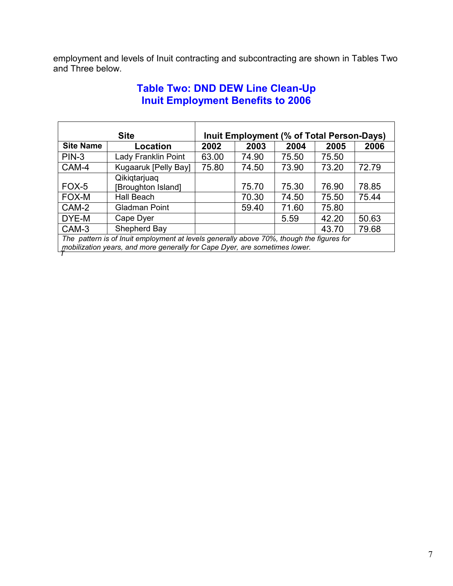employment and levels of Inuit contracting and subcontracting are shown in Tables Two and Three below.

#### Table Two: DND DEW Line Clean-Up Inuit Employment Benefits to 2006

|                  | <b>Site</b>                                                                              | Inuit Employment (% of Total Person-Days) |       |       |       |       |  |  |  |  |  |  |
|------------------|------------------------------------------------------------------------------------------|-------------------------------------------|-------|-------|-------|-------|--|--|--|--|--|--|
| <b>Site Name</b> | Location                                                                                 | 2002                                      | 2003  | 2004  | 2005  | 2006  |  |  |  |  |  |  |
| $PIN-3$          | Lady Franklin Point                                                                      | 63.00                                     | 74.90 | 75.50 | 75.50 |       |  |  |  |  |  |  |
| CAM-4            | Kugaaruk [Pelly Bay]                                                                     | 75.80                                     | 74.50 | 73.90 | 73.20 | 72.79 |  |  |  |  |  |  |
|                  | Qikiqtarjuaq                                                                             |                                           |       |       |       |       |  |  |  |  |  |  |
| $FOX-5$          | [Broughton Island]                                                                       |                                           | 75.70 | 75.30 | 76.90 | 78.85 |  |  |  |  |  |  |
| FOX-M            | Hall Beach                                                                               |                                           | 70.30 | 74.50 | 75.50 | 75.44 |  |  |  |  |  |  |
| CAM-2            | Gladman Point                                                                            |                                           | 59.40 | 71.60 | 75.80 |       |  |  |  |  |  |  |
| DYE-M            | Cape Dyer                                                                                |                                           |       | 5.59  | 42.20 | 50.63 |  |  |  |  |  |  |
| CAM-3            | Shepherd Bay                                                                             |                                           |       |       | 43.70 | 79.68 |  |  |  |  |  |  |
|                  | The pattern is of Inuit employment at levels generally above 70%, though the figures for |                                           |       |       |       |       |  |  |  |  |  |  |

 $\tau$ mobilization years, and more generally for Cape Dyer, are sometimes lower.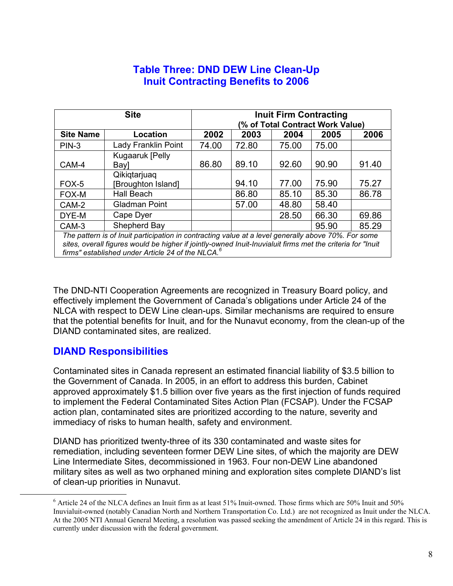## Table Three: DND DEW Line Clean-Up Inuit Contracting Benefits to 2006

|                  | <b>Site</b>                                                                                                | <b>Inuit Firm Contracting</b>    |       |       |       |       |  |  |  |  |  |  |  |
|------------------|------------------------------------------------------------------------------------------------------------|----------------------------------|-------|-------|-------|-------|--|--|--|--|--|--|--|
|                  |                                                                                                            | (% of Total Contract Work Value) |       |       |       |       |  |  |  |  |  |  |  |
| <b>Site Name</b> | Location                                                                                                   | 2002                             | 2003  | 2004  | 2005  | 2006  |  |  |  |  |  |  |  |
| $PIN-3$          | Lady Franklin Point                                                                                        | 74.00                            | 72.80 | 75.00 | 75.00 |       |  |  |  |  |  |  |  |
|                  | Kugaaruk [Pelly                                                                                            |                                  |       |       |       |       |  |  |  |  |  |  |  |
| CAM-4            | Bayl                                                                                                       | 86.80                            | 89.10 | 92.60 | 90.90 | 91.40 |  |  |  |  |  |  |  |
|                  | Qikiqtarjuaq                                                                                               |                                  |       |       |       |       |  |  |  |  |  |  |  |
| FOX-5            | <b>Broughton Island]</b>                                                                                   |                                  | 94.10 | 77.00 | 75.90 | 75.27 |  |  |  |  |  |  |  |
| FOX-M            | Hall Beach                                                                                                 |                                  | 86.80 | 85.10 | 85.30 | 86.78 |  |  |  |  |  |  |  |
| CAM-2            | <b>Gladman Point</b>                                                                                       |                                  | 57.00 | 48.80 | 58.40 |       |  |  |  |  |  |  |  |
| DYE-M            | Cape Dyer                                                                                                  |                                  |       | 28.50 | 66.30 | 69.86 |  |  |  |  |  |  |  |
| CAM-3            | Shepherd Bay                                                                                               |                                  |       |       | 95.90 | 85.29 |  |  |  |  |  |  |  |
|                  | The pattern is of Inuit participation in contracting value at a level generally above 70%. For some        |                                  |       |       |       |       |  |  |  |  |  |  |  |
|                  | sites, overall figures would be higher if jointly-owned Inuit-Inuvialuit firms met the criteria for "Inuit |                                  |       |       |       |       |  |  |  |  |  |  |  |
|                  | firms" established under Article 24 of the NLCA. <sup>6</sup>                                              |                                  |       |       |       |       |  |  |  |  |  |  |  |

The DND-NTI Cooperation Agreements are recognized in Treasury Board policy, and effectively implement the Government of Canada's obligations under Article 24 of the NLCA with respect to DEW Line clean-ups. Similar mechanisms are required to ensure that the potential benefits for Inuit, and for the Nunavut economy, from the clean-up of the DIAND contaminated sites, are realized.

#### DIAND Responsibilities

l

Contaminated sites in Canada represent an estimated financial liability of \$3.5 billion to the Government of Canada. In 2005, in an effort to address this burden, Cabinet approved approximately \$1.5 billion over five years as the first injection of funds required to implement the Federal Contaminated Sites Action Plan (FCSAP). Under the FCSAP action plan, contaminated sites are prioritized according to the nature, severity and immediacy of risks to human health, safety and environment.

DIAND has prioritized twenty-three of its 330 contaminated and waste sites for remediation, including seventeen former DEW Line sites, of which the majority are DEW Line Intermediate Sites, decommissioned in 1963. Four non-DEW Line abandoned military sites as well as two orphaned mining and exploration sites complete DIAND's list of clean-up priorities in Nunavut.

<sup>&</sup>lt;sup>6</sup> Article 24 of the NLCA defines an Inuit firm as at least 51% Inuit-owned. Those firms which are 50% Inuit and 50% Inuvialuit-owned (notably Canadian North and Northern Transportation Co. Ltd.) are not recognized as Inuit under the NLCA. At the 2005 NTI Annual General Meeting, a resolution was passed seeking the amendment of Article 24 in this regard. This is currently under discussion with the federal government.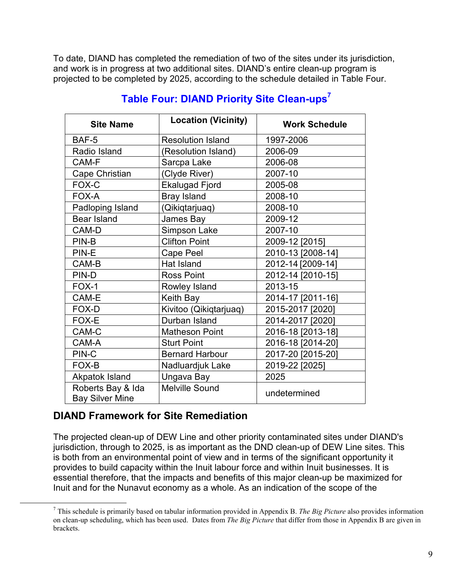To date, DIAND has completed the remediation of two of the sites under its jurisdiction, and work is in progress at two additional sites. DIAND's entire clean-up program is projected to be completed by 2025, according to the schedule detailed in Table Four.

| <b>Site Name</b>                            | <b>Location (Vicinity)</b> | <b>Work Schedule</b> |  |  |  |  |  |
|---------------------------------------------|----------------------------|----------------------|--|--|--|--|--|
| BAF-5                                       | <b>Resolution Island</b>   | 1997-2006            |  |  |  |  |  |
| Radio Island                                | (Resolution Island)        | 2006-09              |  |  |  |  |  |
| CAM-F                                       | Sarcpa Lake                | 2006-08              |  |  |  |  |  |
| Cape Christian                              | (Clyde River)              | 2007-10              |  |  |  |  |  |
| FOX-C                                       | <b>Ekalugad Fjord</b>      | 2005-08              |  |  |  |  |  |
| FOX-A                                       | <b>Bray Island</b>         | 2008-10              |  |  |  |  |  |
| Padloping Island                            | (Qikiqtarjuaq)             | 2008-10              |  |  |  |  |  |
| <b>Bear Island</b>                          | James Bay                  | 2009-12              |  |  |  |  |  |
| CAM-D                                       | Simpson Lake               | 2007-10              |  |  |  |  |  |
| PIN-B                                       | <b>Clifton Point</b>       | 2009-12 [2015]       |  |  |  |  |  |
| PIN-E                                       | Cape Peel                  | 2010-13 [2008-14]    |  |  |  |  |  |
| CAM-B                                       | Hat Island                 | 2012-14 [2009-14]    |  |  |  |  |  |
| PIN-D                                       | <b>Ross Point</b>          | 2012-14 [2010-15]    |  |  |  |  |  |
| FOX-1                                       | Rowley Island              | 2013-15              |  |  |  |  |  |
| CAM-E                                       | Keith Bay                  | 2014-17 [2011-16]    |  |  |  |  |  |
| FOX-D                                       | Kivitoo (Qikiqtarjuaq)     | 2015-2017 [2020]     |  |  |  |  |  |
| FOX-E                                       | Durban Island              | 2014-2017 [2020]     |  |  |  |  |  |
| CAM-C                                       | <b>Matheson Point</b>      | 2016-18 [2013-18]    |  |  |  |  |  |
| CAM-A                                       | <b>Sturt Point</b>         | 2016-18 [2014-20]    |  |  |  |  |  |
| PIN-C                                       | <b>Bernard Harbour</b>     | 2017-20 [2015-20]    |  |  |  |  |  |
| FOX-B                                       | Nadluardjuk Lake           | 2019-22 [2025]       |  |  |  |  |  |
| Akpatok Island                              | Ungava Bay                 | 2025                 |  |  |  |  |  |
| Roberts Bay & Ida<br><b>Bay Silver Mine</b> | <b>Melville Sound</b>      | undetermined         |  |  |  |  |  |

#### Table Four: DIAND Priority Site Clean-ups<sup>7</sup>

#### DIAND Framework for Site Remediation

 $\overline{a}$ 

The projected clean-up of DEW Line and other priority contaminated sites under DIAND's jurisdiction, through to 2025, is as important as the DND clean-up of DEW Line sites. This is both from an environmental point of view and in terms of the significant opportunity it provides to build capacity within the Inuit labour force and within Inuit businesses. It is essential therefore, that the impacts and benefits of this major clean-up be maximized for Inuit and for the Nunavut economy as a whole. As an indication of the scope of the

 $<sup>7</sup>$  This schedule is primarily based on tabular information provided in Appendix B. The Big Picture also provides information</sup> on clean-up scheduling, which has been used. Dates from *The Big Picture* that differ from those in Appendix B are given in brackets.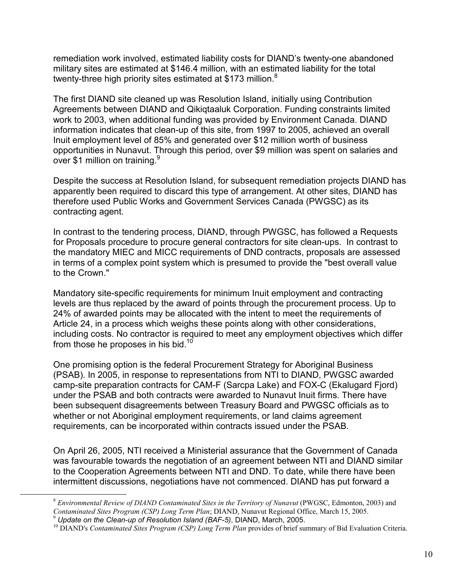remediation work involved, estimated liability costs for DIAND's twenty-one abandoned military sites are estimated at \$146.4 million, with an estimated liability for the total twenty-three high priority sites estimated at \$173 million.<sup>8</sup>

The first DIAND site cleaned up was Resolution Island, initially using Contribution Agreements between DIAND and Qikiqtaaluk Corporation. Funding constraints limited work to 2003, when additional funding was provided by Environment Canada. DIAND information indicates that clean-up of this site, from 1997 to 2005, achieved an overall Inuit employment level of 85% and generated over \$12 million worth of business opportunities in Nunavut. Through this period, over \$9 million was spent on salaries and over \$1 million on training.<sup>9</sup>

Despite the success at Resolution Island, for subsequent remediation projects DIAND has apparently been required to discard this type of arrangement. At other sites, DIAND has therefore used Public Works and Government Services Canada (PWGSC) as its contracting agent.

In contrast to the tendering process, DIAND, through PWGSC, has followed a Requests for Proposals procedure to procure general contractors for site clean-ups. In contrast to the mandatory MIEC and MICC requirements of DND contracts, proposals are assessed in terms of a complex point system which is presumed to provide the "best overall value to the Crown."

Mandatory site-specific requirements for minimum Inuit employment and contracting levels are thus replaced by the award of points through the procurement process. Up to 24% of awarded points may be allocated with the intent to meet the requirements of Article 24, in a process which weighs these points along with other considerations, including costs. No contractor is required to meet any employment objectives which differ from those he proposes in his bid.<sup>10</sup>

One promising option is the federal Procurement Strategy for Aboriginal Business (PSAB). In 2005, in response to representations from NTI to DIAND, PWGSC awarded camp-site preparation contracts for CAM-F (Sarcpa Lake) and FOX-C (Ekalugard Fjord) under the PSAB and both contracts were awarded to Nunavut Inuit firms. There have been subsequent disagreements between Treasury Board and PWGSC officials as to whether or not Aboriginal employment requirements, or land claims agreement requirements, can be incorporated within contracts issued under the PSAB.

On April 26, 2005, NTI received a Ministerial assurance that the Government of Canada was favourable towards the negotiation of an agreement between NTI and DIAND similar to the Cooperation Agreements between NTI and DND. To date, while there have been intermittent discussions, negotiations have not commenced. DIAND has put forward a

<u>.</u>

 $8$  Environmental Review of DIAND Contaminated Sites in the Territory of Nunavut (PWGSC, Edmonton, 2003) and Contaminated Sites Program (CSP) Long Term Plan; DIAND, Nunavut Regional Office, March 15, 2005.

 $9$  Update on the Clean-up of Resolution Island (BAF-5), DIAND, March, 2005.

 $10$  DIAND's Contaminated Sites Program (CSP) Long Term Plan provides of brief summary of Bid Evaluation Criteria.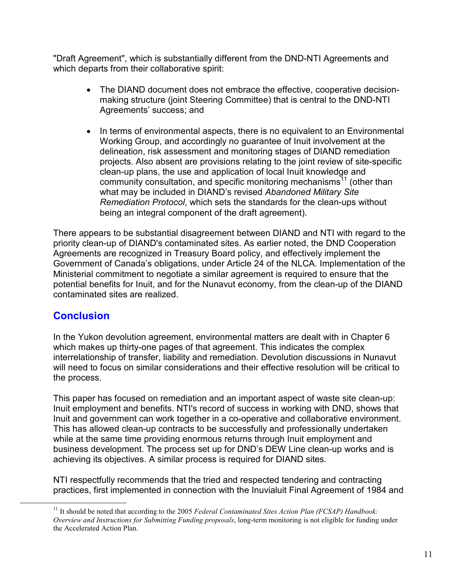"Draft Agreement", which is substantially different from the DND-NTI Agreements and which departs from their collaborative spirit:

- The DIAND document does not embrace the effective, cooperative decisionmaking structure (joint Steering Committee) that is central to the DND-NTI Agreements' success; and
- In terms of environmental aspects, there is no equivalent to an Environmental Working Group, and accordingly no guarantee of Inuit involvement at the delineation, risk assessment and monitoring stages of DIAND remediation projects. Also absent are provisions relating to the joint review of site-specific clean-up plans, the use and application of local Inuit knowledge and community consultation, and specific monitoring mechanisms<sup>11</sup> (other than what may be included in DIAND's revised Abandoned Military Site Remediation Protocol, which sets the standards for the clean-ups without being an integral component of the draft agreement).

There appears to be substantial disagreement between DIAND and NTI with regard to the priority clean-up of DIAND's contaminated sites. As earlier noted, the DND Cooperation Agreements are recognized in Treasury Board policy, and effectively implement the Government of Canada's obligations, under Article 24 of the NLCA. Implementation of the Ministerial commitment to negotiate a similar agreement is required to ensure that the potential benefits for Inuit, and for the Nunavut economy, from the clean-up of the DIAND contaminated sites are realized.

#### **Conclusion**

 $\overline{a}$ 

In the Yukon devolution agreement, environmental matters are dealt with in Chapter 6 which makes up thirty-one pages of that agreement. This indicates the complex interrelationship of transfer, liability and remediation. Devolution discussions in Nunavut will need to focus on similar considerations and their effective resolution will be critical to the process.

This paper has focused on remediation and an important aspect of waste site clean-up: Inuit employment and benefits. NTI's record of success in working with DND, shows that Inuit and government can work together in a co-operative and collaborative environment. This has allowed clean-up contracts to be successfully and professionally undertaken while at the same time providing enormous returns through Inuit employment and business development. The process set up for DND's DEW Line clean-up works and is achieving its objectives. A similar process is required for DIAND sites.

NTI respectfully recommends that the tried and respected tendering and contracting practices, first implemented in connection with the Inuvialuit Final Agreement of 1984 and

<sup>&</sup>lt;sup>11</sup> It should be noted that according to the 2005 Federal Contaminated Sites Action Plan (FCSAP) Handbook: Overview and Instructions for Submitting Funding proposals, long-term monitoring is not eligible for funding under the Accelerated Action Plan.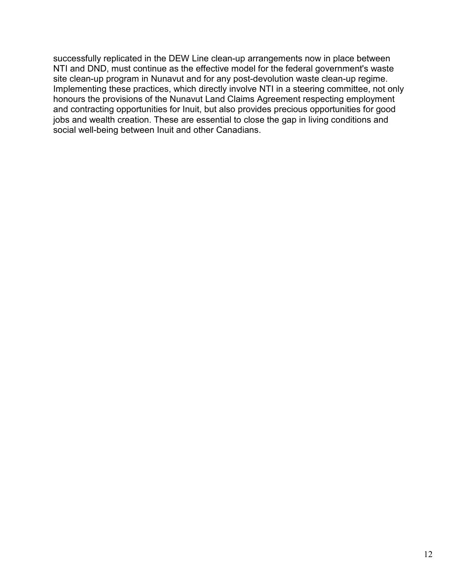successfully replicated in the DEW Line clean-up arrangements now in place between NTI and DND, must continue as the effective model for the federal government's waste site clean-up program in Nunavut and for any post-devolution waste clean-up regime. Implementing these practices, which directly involve NTI in a steering committee, not only honours the provisions of the Nunavut Land Claims Agreement respecting employment and contracting opportunities for Inuit, but also provides precious opportunities for good jobs and wealth creation. These are essential to close the gap in living conditions and social well-being between Inuit and other Canadians.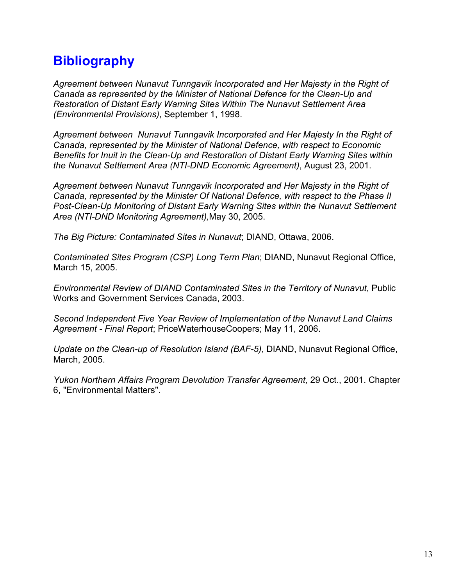## **Bibliography**

Agreement between Nunavut Tunngavik Incorporated and Her Majesty in the Right of Canada as represented by the Minister of National Defence for the Clean-Up and Restoration of Distant Early Warning Sites Within The Nunavut Settlement Area (Environmental Provisions), September 1, 1998.

Agreement between Nunavut Tunngavik Incorporated and Her Majesty In the Right of Canada, represented by the Minister of National Defence, with respect to Economic Benefits for Inuit in the Clean-Up and Restoration of Distant Early Warning Sites within the Nunavut Settlement Area (NTI-DND Economic Agreement), August 23, 2001.

Agreement between Nunavut Tunngavik Incorporated and Her Majesty in the Right of Canada, represented by the Minister Of National Defence, with respect to the Phase II Post-Clean-Up Monitoring of Distant Early Warning Sites within the Nunavut Settlement Area (NTI-DND Monitoring Agreement),May 30, 2005.

The Big Picture: Contaminated Sites in Nunavut; DIAND, Ottawa, 2006.

Contaminated Sites Program (CSP) Long Term Plan; DIAND, Nunavut Regional Office, March 15, 2005.

Environmental Review of DIAND Contaminated Sites in the Territory of Nunavut, Public Works and Government Services Canada, 2003.

Second Independent Five Year Review of Implementation of the Nunavut Land Claims Agreement - Final Report; PriceWaterhouseCoopers; May 11, 2006.

Update on the Clean-up of Resolution Island (BAF-5), DIAND, Nunavut Regional Office, March, 2005.

Yukon Northern Affairs Program Devolution Transfer Agreement, 29 Oct., 2001. Chapter 6, "Environmental Matters".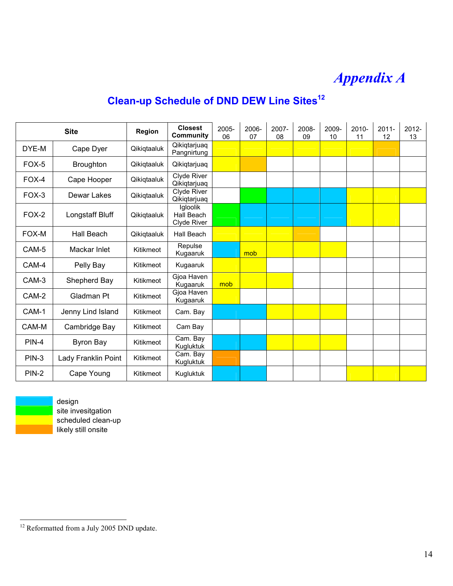# Appendix A

## Clean-up Schedule of DND DEW Line Sites<sup>12</sup>

| <b>Site</b>  |                     | <b>Region</b> | <b>Closest</b><br>Community           | 2005-<br>06 | 2006-<br>07 | 2007-<br>08 | 2008-<br>09 | 2009-<br>10 | $2010 -$<br>11 | $2011 -$<br>12 | $2012 -$<br>13 |
|--------------|---------------------|---------------|---------------------------------------|-------------|-------------|-------------|-------------|-------------|----------------|----------------|----------------|
| DYE-M        | Cape Dyer           | Qikiqtaaluk   | Qikiqtarjuaq<br>Pangnirtung           |             |             |             |             |             |                |                |                |
| FOX-5        | <b>Broughton</b>    | Qikiqtaaluk   | Qikiqtarjuaq                          |             |             |             |             |             |                |                |                |
| FOX-4        | Cape Hooper         | Qikiqtaaluk   | Clyde River<br>Qikiqtarjuaq           |             |             |             |             |             |                |                |                |
| FOX-3        | Dewar Lakes         | Qikiqtaaluk   | Clyde River<br>Qikiqtarjuaq           |             |             |             |             |             |                |                |                |
| $FOX-2$      | Longstaff Bluff     | Qikiqtaaluk   | Igloolik<br>Hall Beach<br>Clyde River |             |             |             |             |             |                |                |                |
| FOX-M        | Hall Beach          | Qikiqtaaluk   | Hall Beach                            |             |             |             |             |             |                |                |                |
| CAM-5        | Mackar Inlet        | Kitikmeot     | Repulse<br>Kugaaruk                   |             | mob         |             |             |             |                |                |                |
| CAM-4        | Pelly Bay           | Kitikmeot     | Kugaaruk                              |             |             |             |             |             |                |                |                |
| CAM-3        | Shepherd Bay        | Kitikmeot     | Gjoa Haven<br>Kugaaruk                | mob         |             |             |             |             |                |                |                |
| CAM-2        | Gladman Pt          | Kitikmeot     | Gjoa Haven<br>Kugaaruk                |             |             |             |             |             |                |                |                |
| CAM-1        | Jenny Lind Island   | Kitikmeot     | Cam. Bay                              |             |             |             |             |             |                |                |                |
| CAM-M        | Cambridge Bay       | Kitikmeot     | Cam Bay                               |             |             |             |             |             |                |                |                |
| <b>PIN-4</b> | Byron Bay           | Kitikmeot     | Cam. Bay<br>Kugluktuk                 |             |             |             |             |             |                |                |                |
| PIN-3        | Lady Franklin Point | Kitikmeot     | Cam. Bay<br>Kugluktuk                 |             |             |             |             |             |                |                |                |
| <b>PIN-2</b> | Cape Young          | Kitikmeot     | Kugluktuk                             |             |             |             |             |             |                |                |                |



<u>.</u>

 design site invesitgation scheduled clean-up likely still onsite

<sup>&</sup>lt;sup>12</sup> Reformatted from a July 2005 DND update.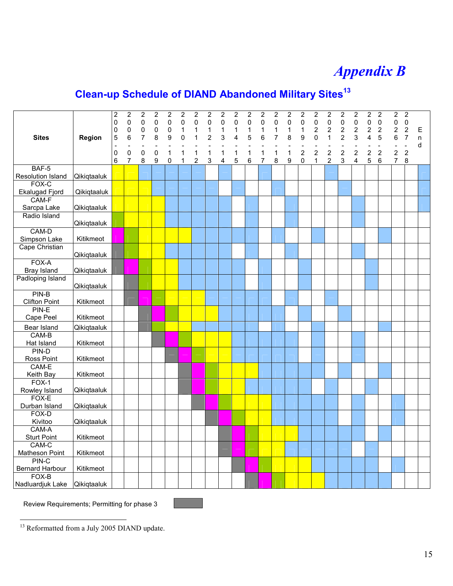# Appendix B

# Clean-up Schedule of DIAND Abandoned Military Sites<sup>13</sup>

| <b>Sites</b>               | Region      | $\overline{c}$<br>$\mathbf 0$<br>0<br>5<br>$\overline{a}$<br>$\mathbf 0$<br>$6\phantom{1}$ | $\boldsymbol{2}$<br>$\mathsf 0$<br>$\pmb{0}$<br>6<br>$\pmb{0}$<br>$\overline{7}$ | $\overline{\mathbf{c}}$<br>$\mathsf 0$<br>0<br>$\overline{7}$<br>$\overline{a}$<br>$\pmb{0}$<br>8 | $\overline{2}$<br>$\overline{0}$<br>$\mathbf 0$<br>8<br>$\mathbf 0$<br>9 | $\overline{c}$<br>0<br>0<br>9<br>$\mathbf{1}$<br>0 | $\overline{2}$<br>0<br>1<br>$\Omega$<br>1<br>$\mathbf{1}$ | $\overline{2}$<br>$\mathbf 0$<br>1<br>1<br>1<br>$\overline{2}$ | $\boldsymbol{2}$<br>$\mathbf 0$<br>1<br>$\overline{2}$<br>1<br>3 | $\boldsymbol{2}$<br>0<br>$\mathbf 1$<br>3<br>1<br>4 | $\overline{2}$<br>0<br>1<br>4<br>1<br>5 | $\boldsymbol{2}$<br>$\mathbf 0$<br>$\mathbf 1$<br>5<br>1<br>$6\phantom{1}6$ | $\overline{2}$<br>$\mathbf 0$<br>1<br>6<br>1<br>$\overline{7}$ | $\boldsymbol{2}$<br>$\pmb{0}$<br>$\mathbf 1$<br>7<br>$\mathbf{1}$<br>8 | $\boldsymbol{2}$<br>$\mathbf 0$<br>1<br>8<br>1<br>9 | $\overline{2}$<br>0<br>$\mathbf 1$<br>9<br>$\overline{a}$<br>$\overline{2}$<br>$\mathbf 0$ | $\boldsymbol{2}$<br>$\mathsf 0$<br>$\overline{\mathbf{c}}$<br>$\mathbf 0$<br>$\overline{2}$<br>$\mathbf{1}$ | $\boldsymbol{2}$<br>$\mathsf 0$<br>$\overline{2}$<br>$\mathbf{1}$<br>$\overline{2}$<br>$\overline{2}$ | $\overline{2}$<br>$\mathbf 0$<br>$\overline{2}$<br>$\overline{2}$<br>$\overline{2}$<br>3 | $\boldsymbol{2}$<br>$\mathsf 0$<br>$\overline{c}$<br>3<br>$\overline{a}$<br>$\overline{2}$<br>$\overline{4}$ | $\overline{2}$<br>$\mathbf 0$<br>$\overline{\mathbf{c}}$<br>4<br>$\overline{2}$<br>5 | $\overline{2}$<br>$\mathbf 0$<br>$\overline{2}$<br>5<br>$\overline{2}$<br>6 | $\overline{2}$<br>0<br>$\overline{2}$<br>6<br>$\overline{2}$<br>$\overline{7}$ | $\boldsymbol{2}$<br>$\mathsf 0$<br>$\overline{2}$<br>$\overline{7}$<br>$\overline{a}$<br>$\overline{2}$<br>8 | E<br>n<br>d |
|----------------------------|-------------|--------------------------------------------------------------------------------------------|----------------------------------------------------------------------------------|---------------------------------------------------------------------------------------------------|--------------------------------------------------------------------------|----------------------------------------------------|-----------------------------------------------------------|----------------------------------------------------------------|------------------------------------------------------------------|-----------------------------------------------------|-----------------------------------------|-----------------------------------------------------------------------------|----------------------------------------------------------------|------------------------------------------------------------------------|-----------------------------------------------------|--------------------------------------------------------------------------------------------|-------------------------------------------------------------------------------------------------------------|-------------------------------------------------------------------------------------------------------|------------------------------------------------------------------------------------------|--------------------------------------------------------------------------------------------------------------|--------------------------------------------------------------------------------------|-----------------------------------------------------------------------------|--------------------------------------------------------------------------------|--------------------------------------------------------------------------------------------------------------|-------------|
| BAF-5                      |             |                                                                                            |                                                                                  |                                                                                                   |                                                                          |                                                    |                                                           |                                                                |                                                                  |                                                     |                                         |                                                                             |                                                                |                                                                        |                                                     |                                                                                            |                                                                                                             |                                                                                                       |                                                                                          |                                                                                                              |                                                                                      |                                                                             |                                                                                |                                                                                                              |             |
| Resolution Island<br>FOX-C | Qikiqtaaluk |                                                                                            |                                                                                  |                                                                                                   |                                                                          |                                                    |                                                           |                                                                |                                                                  |                                                     |                                         |                                                                             |                                                                |                                                                        |                                                     |                                                                                            |                                                                                                             |                                                                                                       |                                                                                          |                                                                                                              |                                                                                      |                                                                             |                                                                                |                                                                                                              |             |
|                            | Qikiqtaaluk |                                                                                            |                                                                                  |                                                                                                   |                                                                          |                                                    |                                                           |                                                                |                                                                  |                                                     |                                         |                                                                             |                                                                |                                                                        |                                                     |                                                                                            |                                                                                                             |                                                                                                       |                                                                                          |                                                                                                              |                                                                                      |                                                                             |                                                                                |                                                                                                              |             |
| Ekalugad Fjord<br>CAM-F    |             |                                                                                            |                                                                                  |                                                                                                   |                                                                          |                                                    |                                                           |                                                                |                                                                  |                                                     |                                         |                                                                             |                                                                |                                                                        |                                                     |                                                                                            |                                                                                                             |                                                                                                       |                                                                                          |                                                                                                              |                                                                                      |                                                                             |                                                                                |                                                                                                              |             |
| Sarcpa Lake                | Qikiqtaaluk |                                                                                            |                                                                                  |                                                                                                   |                                                                          |                                                    |                                                           |                                                                |                                                                  |                                                     |                                         |                                                                             |                                                                |                                                                        |                                                     |                                                                                            |                                                                                                             |                                                                                                       |                                                                                          |                                                                                                              |                                                                                      |                                                                             |                                                                                |                                                                                                              |             |
| Radio Island               |             |                                                                                            |                                                                                  |                                                                                                   |                                                                          |                                                    |                                                           |                                                                |                                                                  |                                                     |                                         |                                                                             |                                                                |                                                                        |                                                     |                                                                                            |                                                                                                             |                                                                                                       |                                                                                          |                                                                                                              |                                                                                      |                                                                             |                                                                                |                                                                                                              |             |
|                            | Qikiqtaaluk |                                                                                            |                                                                                  |                                                                                                   |                                                                          |                                                    |                                                           |                                                                |                                                                  |                                                     |                                         |                                                                             |                                                                |                                                                        |                                                     |                                                                                            |                                                                                                             |                                                                                                       |                                                                                          |                                                                                                              |                                                                                      |                                                                             |                                                                                |                                                                                                              |             |
| CAM-D                      |             |                                                                                            |                                                                                  |                                                                                                   |                                                                          |                                                    |                                                           |                                                                |                                                                  |                                                     |                                         |                                                                             |                                                                |                                                                        |                                                     |                                                                                            |                                                                                                             |                                                                                                       |                                                                                          |                                                                                                              |                                                                                      |                                                                             |                                                                                |                                                                                                              |             |
| Simpson Lake               | Kitikmeot   |                                                                                            |                                                                                  |                                                                                                   |                                                                          |                                                    |                                                           |                                                                |                                                                  |                                                     |                                         |                                                                             |                                                                |                                                                        |                                                     |                                                                                            |                                                                                                             |                                                                                                       |                                                                                          |                                                                                                              |                                                                                      |                                                                             |                                                                                |                                                                                                              |             |
| Cape Christian             |             |                                                                                            |                                                                                  |                                                                                                   |                                                                          |                                                    |                                                           |                                                                |                                                                  |                                                     |                                         |                                                                             |                                                                |                                                                        |                                                     |                                                                                            |                                                                                                             |                                                                                                       |                                                                                          |                                                                                                              |                                                                                      |                                                                             |                                                                                |                                                                                                              |             |
|                            | Qikiqtaaluk |                                                                                            |                                                                                  |                                                                                                   |                                                                          |                                                    |                                                           |                                                                |                                                                  |                                                     |                                         |                                                                             |                                                                |                                                                        |                                                     |                                                                                            |                                                                                                             |                                                                                                       |                                                                                          |                                                                                                              |                                                                                      |                                                                             |                                                                                |                                                                                                              |             |
| FOX-A                      |             |                                                                                            |                                                                                  |                                                                                                   |                                                                          |                                                    |                                                           |                                                                |                                                                  |                                                     |                                         |                                                                             |                                                                |                                                                        |                                                     |                                                                                            |                                                                                                             |                                                                                                       |                                                                                          |                                                                                                              |                                                                                      |                                                                             |                                                                                |                                                                                                              |             |
| Bray Island                | Qikiqtaaluk |                                                                                            |                                                                                  |                                                                                                   |                                                                          |                                                    |                                                           |                                                                |                                                                  |                                                     |                                         |                                                                             |                                                                |                                                                        |                                                     |                                                                                            |                                                                                                             |                                                                                                       |                                                                                          |                                                                                                              |                                                                                      |                                                                             |                                                                                |                                                                                                              |             |
| Padloping Island           | Qikiqtaaluk |                                                                                            |                                                                                  |                                                                                                   |                                                                          |                                                    |                                                           |                                                                |                                                                  |                                                     |                                         |                                                                             |                                                                |                                                                        |                                                     |                                                                                            |                                                                                                             |                                                                                                       |                                                                                          |                                                                                                              |                                                                                      |                                                                             |                                                                                |                                                                                                              |             |
| PIN-B                      |             |                                                                                            |                                                                                  |                                                                                                   |                                                                          |                                                    |                                                           |                                                                |                                                                  |                                                     |                                         |                                                                             |                                                                |                                                                        |                                                     |                                                                                            |                                                                                                             |                                                                                                       |                                                                                          |                                                                                                              |                                                                                      |                                                                             |                                                                                |                                                                                                              |             |
| <b>Clifton Point</b>       | Kitikmeot   |                                                                                            |                                                                                  |                                                                                                   |                                                                          |                                                    |                                                           |                                                                |                                                                  |                                                     |                                         |                                                                             |                                                                |                                                                        |                                                     |                                                                                            |                                                                                                             |                                                                                                       |                                                                                          |                                                                                                              |                                                                                      |                                                                             |                                                                                |                                                                                                              |             |
| PIN-E                      |             |                                                                                            |                                                                                  |                                                                                                   |                                                                          |                                                    |                                                           |                                                                |                                                                  |                                                     |                                         |                                                                             |                                                                |                                                                        |                                                     |                                                                                            |                                                                                                             |                                                                                                       |                                                                                          |                                                                                                              |                                                                                      |                                                                             |                                                                                |                                                                                                              |             |
| Cape Peel                  | Kitikmeot   |                                                                                            |                                                                                  |                                                                                                   |                                                                          |                                                    |                                                           |                                                                |                                                                  |                                                     |                                         |                                                                             |                                                                |                                                                        |                                                     |                                                                                            |                                                                                                             |                                                                                                       |                                                                                          |                                                                                                              |                                                                                      |                                                                             |                                                                                |                                                                                                              |             |
| Bear Island                | Qikiqtaaluk |                                                                                            |                                                                                  |                                                                                                   |                                                                          |                                                    |                                                           |                                                                |                                                                  |                                                     |                                         |                                                                             |                                                                |                                                                        |                                                     |                                                                                            |                                                                                                             |                                                                                                       |                                                                                          |                                                                                                              |                                                                                      |                                                                             |                                                                                |                                                                                                              |             |
| CAM-B                      |             |                                                                                            |                                                                                  |                                                                                                   |                                                                          |                                                    |                                                           |                                                                |                                                                  |                                                     |                                         |                                                                             |                                                                |                                                                        |                                                     |                                                                                            |                                                                                                             |                                                                                                       |                                                                                          |                                                                                                              |                                                                                      |                                                                             |                                                                                |                                                                                                              |             |
| Hat Island                 | Kitikmeot   |                                                                                            |                                                                                  |                                                                                                   |                                                                          |                                                    |                                                           |                                                                |                                                                  |                                                     |                                         |                                                                             |                                                                |                                                                        |                                                     |                                                                                            |                                                                                                             |                                                                                                       |                                                                                          |                                                                                                              |                                                                                      |                                                                             |                                                                                |                                                                                                              |             |
| PIN-D                      |             |                                                                                            |                                                                                  |                                                                                                   |                                                                          |                                                    |                                                           |                                                                |                                                                  |                                                     |                                         |                                                                             |                                                                |                                                                        |                                                     |                                                                                            |                                                                                                             |                                                                                                       |                                                                                          |                                                                                                              |                                                                                      |                                                                             |                                                                                |                                                                                                              |             |
| Ross Point                 | Kitikmeot   |                                                                                            |                                                                                  |                                                                                                   |                                                                          |                                                    |                                                           |                                                                |                                                                  |                                                     |                                         |                                                                             |                                                                |                                                                        |                                                     |                                                                                            |                                                                                                             |                                                                                                       |                                                                                          |                                                                                                              |                                                                                      |                                                                             |                                                                                |                                                                                                              |             |
| CAM-E                      |             |                                                                                            |                                                                                  |                                                                                                   |                                                                          |                                                    |                                                           |                                                                |                                                                  |                                                     |                                         |                                                                             |                                                                |                                                                        |                                                     |                                                                                            |                                                                                                             |                                                                                                       |                                                                                          |                                                                                                              |                                                                                      |                                                                             |                                                                                |                                                                                                              |             |
| Keith Bay                  | Kitikmeot   |                                                                                            |                                                                                  |                                                                                                   |                                                                          |                                                    |                                                           |                                                                |                                                                  |                                                     |                                         |                                                                             |                                                                |                                                                        |                                                     |                                                                                            |                                                                                                             |                                                                                                       |                                                                                          |                                                                                                              |                                                                                      |                                                                             |                                                                                |                                                                                                              |             |
| $FOX-1$                    |             |                                                                                            |                                                                                  |                                                                                                   |                                                                          |                                                    |                                                           |                                                                |                                                                  |                                                     |                                         |                                                                             |                                                                |                                                                        |                                                     |                                                                                            |                                                                                                             |                                                                                                       |                                                                                          |                                                                                                              |                                                                                      |                                                                             |                                                                                |                                                                                                              |             |
| Rowley Island<br>FOX-E     | Qikiqtaaluk |                                                                                            |                                                                                  |                                                                                                   |                                                                          |                                                    |                                                           |                                                                |                                                                  |                                                     |                                         |                                                                             |                                                                |                                                                        |                                                     |                                                                                            |                                                                                                             |                                                                                                       |                                                                                          |                                                                                                              |                                                                                      |                                                                             |                                                                                |                                                                                                              |             |
| Durban Island              | Qikiqtaaluk |                                                                                            |                                                                                  |                                                                                                   |                                                                          |                                                    |                                                           |                                                                |                                                                  |                                                     |                                         |                                                                             |                                                                |                                                                        |                                                     |                                                                                            |                                                                                                             |                                                                                                       |                                                                                          |                                                                                                              |                                                                                      |                                                                             |                                                                                |                                                                                                              |             |
| FOX-D                      |             |                                                                                            |                                                                                  |                                                                                                   |                                                                          |                                                    |                                                           |                                                                |                                                                  |                                                     |                                         |                                                                             |                                                                |                                                                        |                                                     |                                                                                            |                                                                                                             |                                                                                                       |                                                                                          |                                                                                                              |                                                                                      |                                                                             |                                                                                |                                                                                                              |             |
| Kivitoo                    | Qikiqtaaluk |                                                                                            |                                                                                  |                                                                                                   |                                                                          |                                                    |                                                           |                                                                |                                                                  |                                                     |                                         |                                                                             |                                                                |                                                                        |                                                     |                                                                                            |                                                                                                             |                                                                                                       |                                                                                          |                                                                                                              |                                                                                      |                                                                             |                                                                                |                                                                                                              |             |
| CAM-A                      |             |                                                                                            |                                                                                  |                                                                                                   |                                                                          |                                                    |                                                           |                                                                |                                                                  |                                                     |                                         |                                                                             |                                                                |                                                                        |                                                     |                                                                                            |                                                                                                             |                                                                                                       |                                                                                          |                                                                                                              |                                                                                      |                                                                             |                                                                                |                                                                                                              |             |
| <b>Sturt Point</b>         | Kitikmeot   |                                                                                            |                                                                                  |                                                                                                   |                                                                          |                                                    |                                                           |                                                                |                                                                  |                                                     |                                         |                                                                             |                                                                |                                                                        |                                                     |                                                                                            |                                                                                                             |                                                                                                       |                                                                                          |                                                                                                              |                                                                                      |                                                                             |                                                                                |                                                                                                              |             |
| CAM-C                      |             |                                                                                            |                                                                                  |                                                                                                   |                                                                          |                                                    |                                                           |                                                                |                                                                  |                                                     |                                         |                                                                             |                                                                |                                                                        |                                                     |                                                                                            |                                                                                                             |                                                                                                       |                                                                                          |                                                                                                              |                                                                                      |                                                                             |                                                                                |                                                                                                              |             |
| Matheson Point             | Kitikmeot   |                                                                                            |                                                                                  |                                                                                                   |                                                                          |                                                    |                                                           |                                                                |                                                                  |                                                     |                                         |                                                                             |                                                                |                                                                        |                                                     |                                                                                            |                                                                                                             |                                                                                                       |                                                                                          |                                                                                                              |                                                                                      |                                                                             |                                                                                |                                                                                                              |             |
| PIN-C                      |             |                                                                                            |                                                                                  |                                                                                                   |                                                                          |                                                    |                                                           |                                                                |                                                                  |                                                     |                                         |                                                                             |                                                                |                                                                        |                                                     |                                                                                            |                                                                                                             |                                                                                                       |                                                                                          |                                                                                                              |                                                                                      |                                                                             |                                                                                |                                                                                                              |             |
| <b>Bernard Harbour</b>     | Kitikmeot   |                                                                                            |                                                                                  |                                                                                                   |                                                                          |                                                    |                                                           |                                                                |                                                                  |                                                     |                                         |                                                                             |                                                                |                                                                        |                                                     |                                                                                            |                                                                                                             |                                                                                                       |                                                                                          |                                                                                                              |                                                                                      |                                                                             |                                                                                |                                                                                                              |             |
| FOX-B                      |             |                                                                                            |                                                                                  |                                                                                                   |                                                                          |                                                    |                                                           |                                                                |                                                                  |                                                     |                                         |                                                                             |                                                                |                                                                        |                                                     |                                                                                            |                                                                                                             |                                                                                                       |                                                                                          |                                                                                                              |                                                                                      |                                                                             |                                                                                |                                                                                                              |             |
| Nadluardjuk Lake           | Qikiqtaaluk |                                                                                            |                                                                                  |                                                                                                   |                                                                          |                                                    |                                                           |                                                                |                                                                  |                                                     |                                         |                                                                             |                                                                |                                                                        |                                                     |                                                                                            |                                                                                                             |                                                                                                       |                                                                                          |                                                                                                              |                                                                                      |                                                                             |                                                                                |                                                                                                              |             |

Review Requirements; Permitting for phase 3

<sup>&</sup>lt;u>.</u> <sup>13</sup> Reformatted from a July 2005 DIAND update.